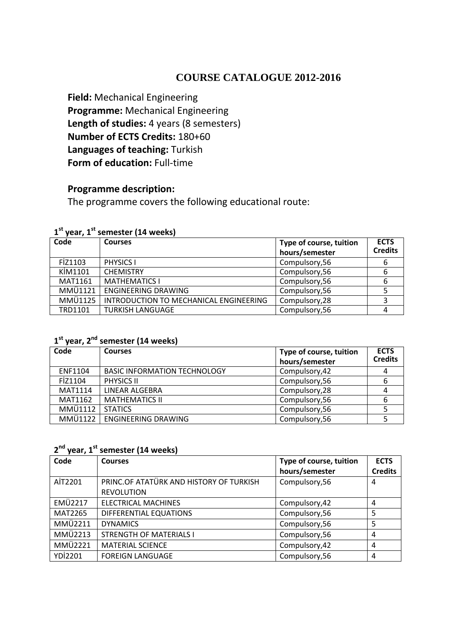# **COURSE CATALOGUE 2012-2016**

**Field:** Mechanical Engineering **Programme:** Mechanical Engineering Length of studies: 4 years (8 semesters) **Number of ECTS Credits:** 180+60 **Languages of teaching:** Turkish **Form of education:** Full-time

## **Programme description:**

The programme covers the following educational route:

| Code           | <b>Courses</b>                         | Type of course, tuition<br>hours/semester | <b>ECTS</b><br><b>Credits</b> |
|----------------|----------------------------------------|-------------------------------------------|-------------------------------|
| FİZ1103        | PHYSICS I                              | Compulsory,56                             |                               |
| KİM1101        | <b>CHEMISTRY</b>                       | Compulsory,56                             |                               |
| <b>MAT1161</b> | <b>MATHEMATICS I</b>                   | Compulsory,56                             |                               |
| MMÜ1121        | <b>ENGINEERING DRAWING</b>             | Compulsory, 56                            |                               |
| MMÜ1125        | INTRODUCTION TO MECHANICAL ENGINEERING | Compulsory, 28                            |                               |
| TRD1101        | <b>TURKISH LANGUAGE</b>                | Compulsory, 56                            |                               |

### **1 st year, 1st semester (14 weeks)**

### **1 st year, 2nd semester (14 weeks)**

| Code           | <b>Courses</b>                      | Type of course, tuition<br>hours/semester | <b>ECTS</b><br><b>Credits</b> |
|----------------|-------------------------------------|-------------------------------------------|-------------------------------|
| ENF1104        | <b>BASIC INFORMATION TECHNOLOGY</b> | Compulsory, 42                            |                               |
| FİZ1104        | <b>PHYSICS II</b>                   | Compulsory,56                             |                               |
| <b>MAT1114</b> | LINEAR ALGEBRA                      | Compulsory, 28                            |                               |
| MAT1162        | <b>MATHEMATICS II</b>               | Compulsory,56                             |                               |
| <b>MMÜ1112</b> | <b>STATICS</b>                      | Compulsory, 56                            |                               |
| MMÜ1122        | <b>ENGINEERING DRAWING</b>          | Compulsory, 56                            |                               |

### **2 nd year, 1st semester (14 weeks)**

| Code           | <b>Courses</b>                                               | Type of course, tuition<br>hours/semester | <b>ECTS</b><br><b>Credits</b> |
|----------------|--------------------------------------------------------------|-------------------------------------------|-------------------------------|
| AİT2201        | PRINC.OF ATATÜRK AND HISTORY OF TURKISH<br><b>REVOLUTION</b> | Compulsory,56                             | 4                             |
| <b>EMÜ2217</b> | <b>ELECTRICAL MACHINES</b>                                   | Compulsory, 42                            | 4                             |
| MAT2265        | DIFFERENTIAL EQUATIONS                                       | Compulsory,56                             | 5                             |
| <b>MMÜ2211</b> | <b>DYNAMICS</b>                                              | Compulsory,56                             |                               |
| <b>MMÜ2213</b> | <b>STRENGTH OF MATERIALS I</b>                               | Compulsory,56                             | 4                             |
| <b>MMÜ2221</b> | <b>MATERIAL SCIENCE</b>                                      | Compulsory, 42                            | 4                             |
| <b>YDİ2201</b> | <b>FOREIGN LANGUAGE</b>                                      | Compulsory,56                             | 4                             |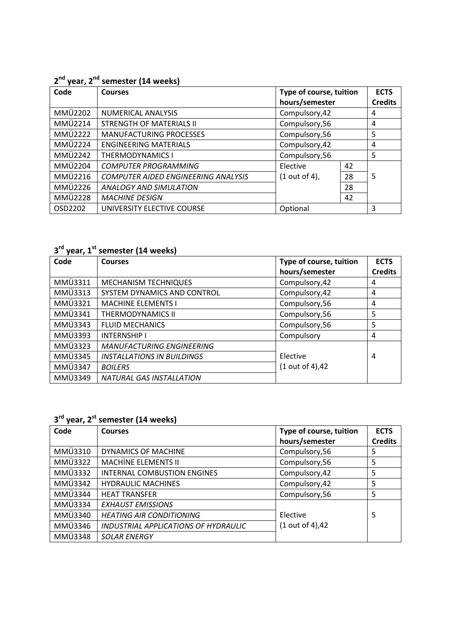### **2 nd year, 2nd semester (14 weeks)**

| Code           | <b>Courses</b>                             | Type of course, tuition |    | <b>ECTS</b>    |
|----------------|--------------------------------------------|-------------------------|----|----------------|
|                |                                            | hours/semester          |    | <b>Credits</b> |
| <b>MMÜ2202</b> | NUMERICAL ANALYSIS                         | Compulsory, 42          |    | 4              |
| <b>MMÜ2214</b> | <b>STRENGTH OF MATERIALS II</b>            | Compulsory,56           |    | 4              |
| <b>MMÜ2222</b> | <b>MANUFACTURING PROCESSES</b>             | Compulsory,56           |    | 5              |
| <b>MMÜ2224</b> | <b>ENGINEERING MATERIALS</b>               | Compulsory, 42          |    | 4              |
| <b>MMÜ2242</b> | <b>THERMODYNAMICS I</b>                    | Compulsory,56           |    | 5              |
| <b>MMÜ2204</b> | <b>COMPUTER PROGRAMMING</b>                | Elective                | 42 |                |
| <b>MMÜ2216</b> | <b>COMPUTER AIDED ENGINEERING ANALYSIS</b> | $(1 out of 4)$ ,        | 28 | 5              |
| <b>MMÜ2226</b> | <b>ANALOGY AND SIMULATION</b>              |                         | 28 |                |
| <b>MMÜ2228</b> | <b>MACHINE DESIGN</b>                      |                         | 42 |                |
| OSD2202        | UNIVERSITY ELECTIVE COURSE                 | Optional                |    | 3              |

**3 rd year, 1st semester (14 weeks)**

| Code           | <b>Courses</b>                    | Type of course, tuition | <b>ECTS</b>    |
|----------------|-----------------------------------|-------------------------|----------------|
|                |                                   | hours/semester          | <b>Credits</b> |
| MMÜ3311        | <b>MECHANISM TECHNIQUES</b>       | Compulsory, 42          | 4              |
| MMÜ3313        | SYSTEM DYNAMICS AND CONTROL       | Compulsory, 42          | 4              |
| MMÜ3321        | <b>MACHINE ELEMENTS I</b>         | Compulsory,56           | 4              |
| MMÜ3341        | <b>THERMODYNAMICS II</b>          | Compulsory,56           | 5              |
| MMÜ3343        | <b>FLUID MECHANICS</b>            | Compulsory,56           | 5              |
| MMÜ3393        | <b>INTERNSHIP I</b>               | Compulsory              | 4              |
| <b>MMÜ3323</b> | <b>MANUFACTURING ENGINEERING</b>  |                         |                |
| MMÜ3345        | <b>INSTALLATIONS IN BUILDINGS</b> | Elective                | 4              |
| MMÜ3347        | <b>BOILERS</b>                    | (1 out of 4),42         |                |
| MMÜ3349        | <b>NATURAL GAS INSTALLATION</b>   |                         |                |

### **3 rd year, 2st semester (14 weeks)**

| Code           | <b>Courses</b>                       | Type of course, tuition | <b>ECTS</b>    |
|----------------|--------------------------------------|-------------------------|----------------|
|                |                                      | hours/semester          | <b>Credits</b> |
| MMÜ3310        | DYNAMICS OF MACHINE                  | Compulsory,56           | 5              |
| MMÜ3322        | <b>MACHINE ELEMENTS II</b>           | Compulsory,56           | 5              |
| <b>MMÜ3332</b> | <b>INTERNAL COMBUSTION ENGINES</b>   | Compulsory, 42          | 5              |
| MMÜ3342        | <b>HYDRAULIC MACHINES</b>            | Compulsory, 42          | 5              |
| MMÜ3344        | <b>HEAT TRANSFER</b>                 | Compulsory, 56          | 5              |
| MMÜ3334        | <b>EXHAUST EMISSIONS</b>             |                         |                |
| MMÜ3340        | <b>HEATING AIR CONDITIONING</b>      | Elective                | 5              |
| MMÜ3346        | INDUSTRIAL APPLICATIONS OF HYDRAULIC | (1 out of 4),42         |                |
| MMÜ3348        | <b>SOLAR ENERGY</b>                  |                         |                |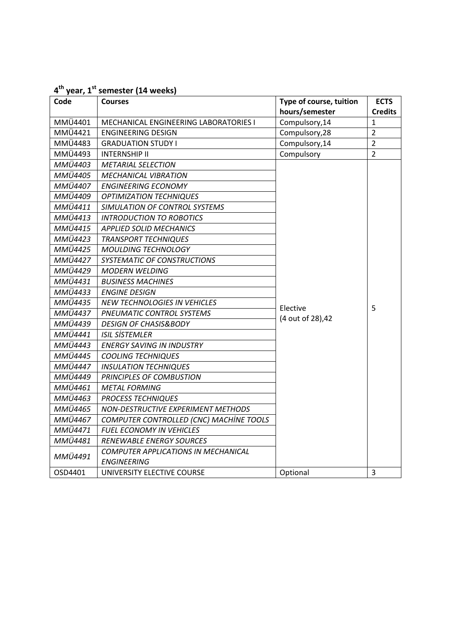| 4 <sup>th</sup> year, 1 <sup>st</sup> semester (14 weeks) |                                         |                         |                |
|-----------------------------------------------------------|-----------------------------------------|-------------------------|----------------|
| Code                                                      | <b>Courses</b>                          | Type of course, tuition | <b>ECTS</b>    |
|                                                           |                                         | hours/semester          | <b>Credits</b> |
| MMÜ4401                                                   | MECHANICAL ENGINEERING LABORATORIES I   | Compulsory, 14          | $\mathbf{1}$   |
| MMÜ4421                                                   | <b>ENGINEERING DESIGN</b>               | Compulsory, 28          | $\overline{2}$ |
| MMÜ4483                                                   | <b>GRADUATION STUDY I</b>               | Compulsory, 14          | $\overline{2}$ |
| MMÜ4493                                                   | <b>INTERNSHIP II</b>                    | Compulsory              | $\overline{2}$ |
| MMÜ4403                                                   | <b>METARIAL SELECTION</b>               |                         |                |
| MMÜ4405                                                   | <b>MECHANICAL VIBRATION</b>             |                         |                |
| MMÜ4407                                                   | <b>ENGINEERING ECONOMY</b>              |                         |                |
| MMÜ4409                                                   | <b>OPTIMIZATION TECHNIQUES</b>          |                         |                |
| MMÜ4411                                                   | SIMULATION OF CONTROL SYSTEMS           |                         |                |
| MMÜ4413                                                   | <b>INTRODUCTION TO ROBOTICS</b>         |                         |                |
| MMÜ4415                                                   | <b>APPLIED SOLID MECHANICS</b>          |                         |                |
| <b>MMÜ4423</b>                                            | <b>TRANSPORT TECHNIQUES</b>             |                         |                |
| MMÜ4425                                                   | <b>MOULDING TECHNOLOGY</b>              |                         |                |
| <b>MMÜ4427</b>                                            | SYSTEMATIC OF CONSTRUCTIONS             |                         |                |
| <b>MMÜ4429</b>                                            | <b>MODERN WELDING</b>                   |                         |                |
| MMÜ4431                                                   | <b>BUSINESS MACHINES</b>                | Elective                |                |
| MMÜ4433                                                   | <b>ENGINE DESIGN</b>                    |                         |                |
| MMÜ4435                                                   | <b>NEW TECHNOLOGIES IN VEHICLES</b>     |                         | 5              |
| <b>MMÜ4437</b>                                            | PNEUMATIC CONTROL SYSTEMS               | (4 out of 28), 42       |                |
| MMÜ4439                                                   | <b>DESIGN OF CHASIS&amp;BODY</b>        |                         |                |
| MMÜ4441                                                   | <b>ISIL SİSTEMLER</b>                   |                         |                |
| <b>MMÜ4443</b>                                            | <b>ENERGY SAVING IN INDUSTRY</b>        |                         |                |
| MMÜ4445                                                   | <b>COOLING TECHNIQUES</b>               |                         |                |
| MMÜ4447                                                   | <b>INSULATION TECHNIQUES</b>            |                         |                |
| MMÜ4449                                                   | PRINCIPLES OF COMBUSTION                |                         |                |
| MMÜ4461                                                   | <b>METAL FORMING</b>                    |                         |                |
| MMÜ4463                                                   | <b>PROCESS TECHNIQUES</b>               |                         |                |
| MMÜ4465                                                   | NON-DESTRUCTIVE EXPERIMENT METHODS      |                         |                |
| MMÜ4467                                                   | COMPUTER CONTROLLED (CNC) MACHINE TOOLS |                         |                |
| MMÜ4471                                                   | <b>FUEL ECONOMY IN VEHICLES</b>         |                         |                |
| MMÜ4481                                                   | <b>RENEWABLE ENERGY SOURCES</b>         |                         |                |
| MMÜ4491                                                   | COMPUTER APPLICATIONS IN MECHANICAL     |                         |                |
|                                                           | <b>ENGINEERING</b>                      |                         |                |
| OSD4401                                                   | UNIVERSITY ELECTIVE COURSE              | Optional                | 3              |